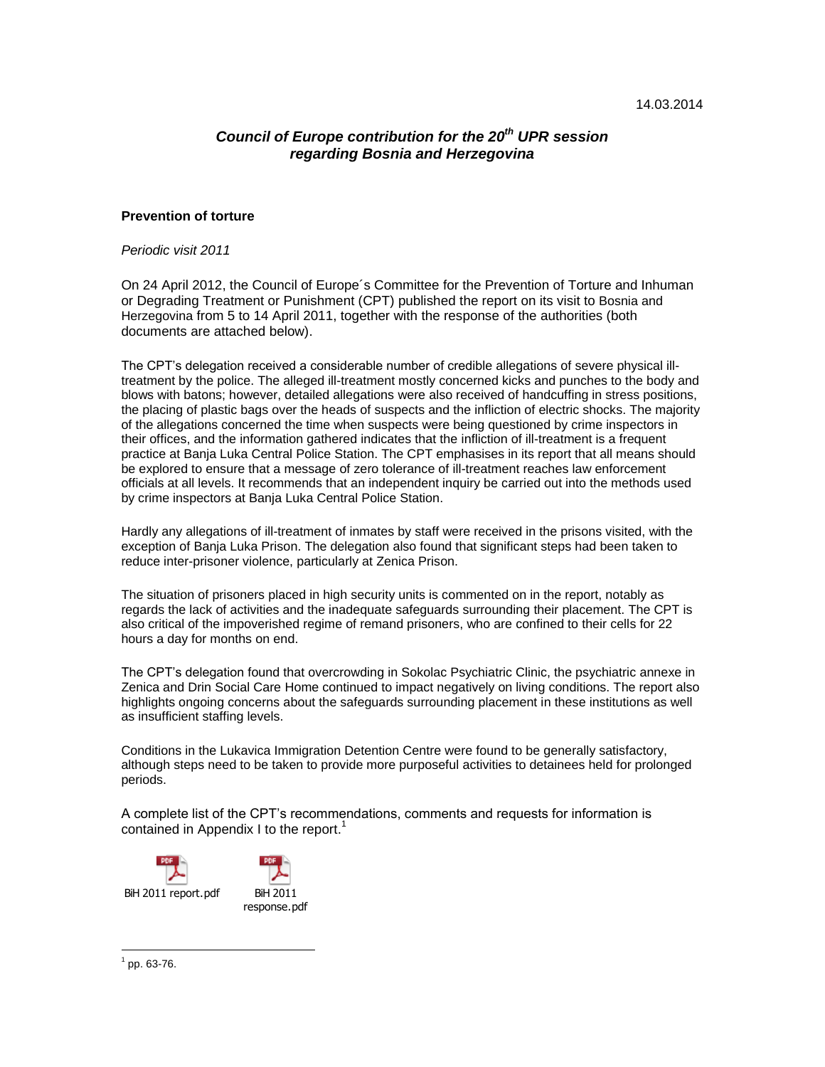# *Council of Europe contribution for the 20th UPR session regarding Bosnia and Herzegovina*

#### **Prevention of torture**

*Periodic visit 2011*

On 24 April 2012, the Council of Europe´s Committee for the Prevention of Torture and Inhuman or Degrading Treatment or Punishment (CPT) published the report on its visit to Bosnia and Herzegovina from 5 to 14 April 2011, together with the response of the authorities (both documents are attached below).

The CPT's delegation received a considerable number of credible allegations of severe physical illtreatment by the police. The alleged ill-treatment mostly concerned kicks and punches to the body and blows with batons; however, detailed allegations were also received of handcuffing in stress positions, the placing of plastic bags over the heads of suspects and the infliction of electric shocks. The majority of the allegations concerned the time when suspects were being questioned by crime inspectors in their offices, and the information gathered indicates that the infliction of ill-treatment is a frequent practice at Banja Luka Central Police Station. The CPT emphasises in its report that all means should be explored to ensure that a message of zero tolerance of ill-treatment reaches law enforcement officials at all levels. It recommends that an independent inquiry be carried out into the methods used by crime inspectors at Banja Luka Central Police Station.

Hardly any allegations of ill-treatment of inmates by staff were received in the prisons visited, with the exception of Banja Luka Prison. The delegation also found that significant steps had been taken to reduce inter-prisoner violence, particularly at Zenica Prison.

The situation of prisoners placed in high security units is commented on in the report, notably as regards the lack of activities and the inadequate safeguards surrounding their placement. The CPT is also critical of the impoverished regime of remand prisoners, who are confined to their cells for 22 hours a day for months on end.

The CPT's delegation found that overcrowding in Sokolac Psychiatric Clinic, the psychiatric annexe in Zenica and Drin Social Care Home continued to impact negatively on living conditions. The report also highlights ongoing concerns about the safeguards surrounding placement in these institutions as well as insufficient staffing levels.

Conditions in the Lukavica Immigration Detention Centre were found to be generally satisfactory, although steps need to be taken to provide more purposeful activities to detainees held for prolonged periods.

A complete list of the CPT's recommendations, comments and requests for information is contained in Appendix I to the report.<sup>1</sup>



 $\overline{a}$  $1$  pp. 63-76.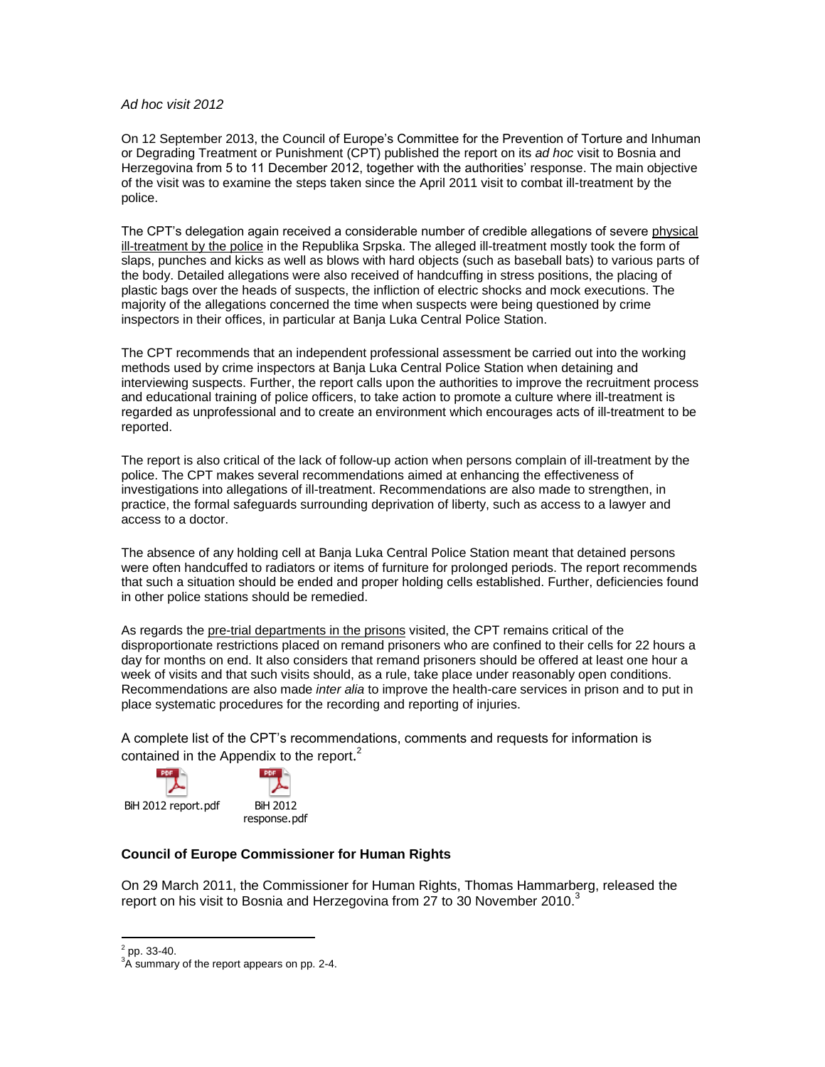#### *Ad hoc visit 2012*

On 12 September 2013, the Council of Europe's Committee for the Prevention of Torture and Inhuman or Degrading Treatment or Punishment (CPT) published the report on its *ad hoc* visit to Bosnia and Herzegovina from 5 to 11 December 2012, together with the authorities' response. The main objective of the visit was to examine the steps taken since the April 2011 visit to combat ill-treatment by the police.

The CPT's delegation again received a considerable number of credible allegations of severe physical ill-treatment by the police in the Republika Srpska. The alleged ill-treatment mostly took the form of slaps, punches and kicks as well as blows with hard objects (such as baseball bats) to various parts of the body. Detailed allegations were also received of handcuffing in stress positions, the placing of plastic bags over the heads of suspects, the infliction of electric shocks and mock executions. The majority of the allegations concerned the time when suspects were being questioned by crime inspectors in their offices, in particular at Banja Luka Central Police Station.

The CPT recommends that an independent professional assessment be carried out into the working methods used by crime inspectors at Banja Luka Central Police Station when detaining and interviewing suspects. Further, the report calls upon the authorities to improve the recruitment process and educational training of police officers, to take action to promote a culture where ill-treatment is regarded as unprofessional and to create an environment which encourages acts of ill-treatment to be reported.

The report is also critical of the lack of follow-up action when persons complain of ill-treatment by the police. The CPT makes several recommendations aimed at enhancing the effectiveness of investigations into allegations of ill-treatment. Recommendations are also made to strengthen, in practice, the formal safeguards surrounding deprivation of liberty, such as access to a lawyer and access to a doctor.

The absence of any holding cell at Banja Luka Central Police Station meant that detained persons were often handcuffed to radiators or items of furniture for prolonged periods. The report recommends that such a situation should be ended and proper holding cells established. Further, deficiencies found in other police stations should be remedied.

As regards the pre-trial departments in the prisons visited, the CPT remains critical of the disproportionate restrictions placed on remand prisoners who are confined to their cells for 22 hours a day for months on end. It also considers that remand prisoners should be offered at least one hour a week of visits and that such visits should, as a rule, take place under reasonably open conditions. Recommendations are also made *inter alia* to improve the health-care services in prison and to put in place systematic procedures for the recording and reporting of injuries.

A complete list of the CPT's recommendations, comments and requests for information is contained in the Appendix to the report.<sup>2</sup>

BiH 2012 report.pdf BiH 2012

PDF



## **Council of Europe Commissioner for Human Rights**

On 29 March 2011, the Commissioner for Human Rights, Thomas Hammarberg, released the [report](https://wcd.coe.int/ViewDoc.jsp?id=1909623) on his visit to Bosnia and Herzegovina from 27 to 30 November 2010.<sup>3</sup>

 $\frac{1}{2}$  pp. 33-40.

<sup>&</sup>lt;sup>3</sup>A summary of the report appears on pp. 2-4.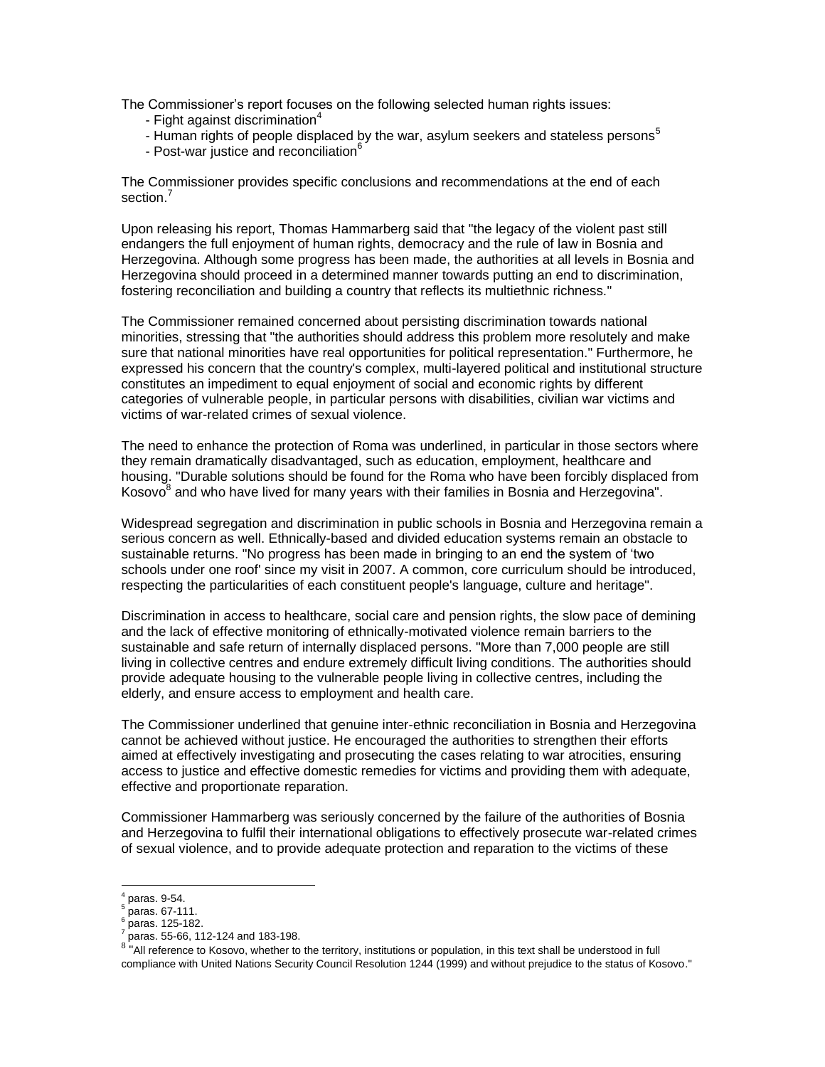The Commissioner's report focuses on the following selected human rights issues:

- Fight against discrimination $4$
- Human rights of people displaced by the war, asylum seekers and stateless persons<sup>5</sup>
- Post-war justice and reconciliation<sup>6</sup>

The Commissioner provides specific conclusions and recommendations at the end of each section.<sup>7</sup>

Upon releasing his report, Thomas Hammarberg said that "the legacy of the violent past still endangers the full enjoyment of human rights, democracy and the rule of law in Bosnia and Herzegovina. Although some progress has been made, the authorities at all levels in Bosnia and Herzegovina should proceed in a determined manner towards putting an end to discrimination, fostering reconciliation and building a country that reflects its multiethnic richness."

The Commissioner remained concerned about persisting discrimination towards national minorities, stressing that "the authorities should address this problem more resolutely and make sure that national minorities have real opportunities for political representation." Furthermore, he expressed his concern that the country's complex, multi-layered political and institutional structure constitutes an impediment to equal enjoyment of social and economic rights by different categories of vulnerable people, in particular persons with disabilities, civilian war victims and victims of war-related crimes of sexual violence.

The need to enhance the protection of Roma was underlined, in particular in those sectors where they remain dramatically disadvantaged, such as education, employment, healthcare and housing. "Durable solutions should be found for the Roma who have been forcibly displaced from Kosovo<sup>8</sup> and who have lived for many years with their families in Bosnia and Herzegovina".

Widespread segregation and discrimination in public schools in Bosnia and Herzegovina remain a serious concern as well. Ethnically-based and divided education systems remain an obstacle to sustainable returns. "No progress has been made in bringing to an end the system of 'two schools under one roof' since my visit in 2007. A common, core curriculum should be introduced, respecting the particularities of each constituent people's language, culture and heritage".

Discrimination in access to healthcare, social care and pension rights, the slow pace of demining and the lack of effective monitoring of ethnically-motivated violence remain barriers to the sustainable and safe return of internally displaced persons. "More than 7,000 people are still living in collective centres and endure extremely difficult living conditions. The authorities should provide adequate housing to the vulnerable people living in collective centres, including the elderly, and ensure access to employment and health care.

The Commissioner underlined that genuine inter-ethnic reconciliation in Bosnia and Herzegovina cannot be achieved without justice. He encouraged the authorities to strengthen their efforts aimed at effectively investigating and prosecuting the cases relating to war atrocities, ensuring access to justice and effective domestic remedies for victims and providing them with adequate, effective and proportionate reparation.

Commissioner Hammarberg was seriously concerned by the failure of the authorities of Bosnia and Herzegovina to fulfil their international obligations to effectively prosecute war-related crimes of sexual violence, and to provide adequate protection and reparation to the victims of these

 $\overline{a}$ 4 paras. 9-54.

<sup>5</sup> paras. 67-111.

<sup>6</sup> paras. 125-182.

<sup>7</sup> paras. 55-66, 112-124 and 183-198.

<sup>&</sup>lt;sup>8 '</sup>"All reference to Kosovo, whether to the territory, institutions or population, in this text shall be understood in full compliance with United Nations Security Council Resolution 1244 (1999) and without prejudice to the status of Kosovo."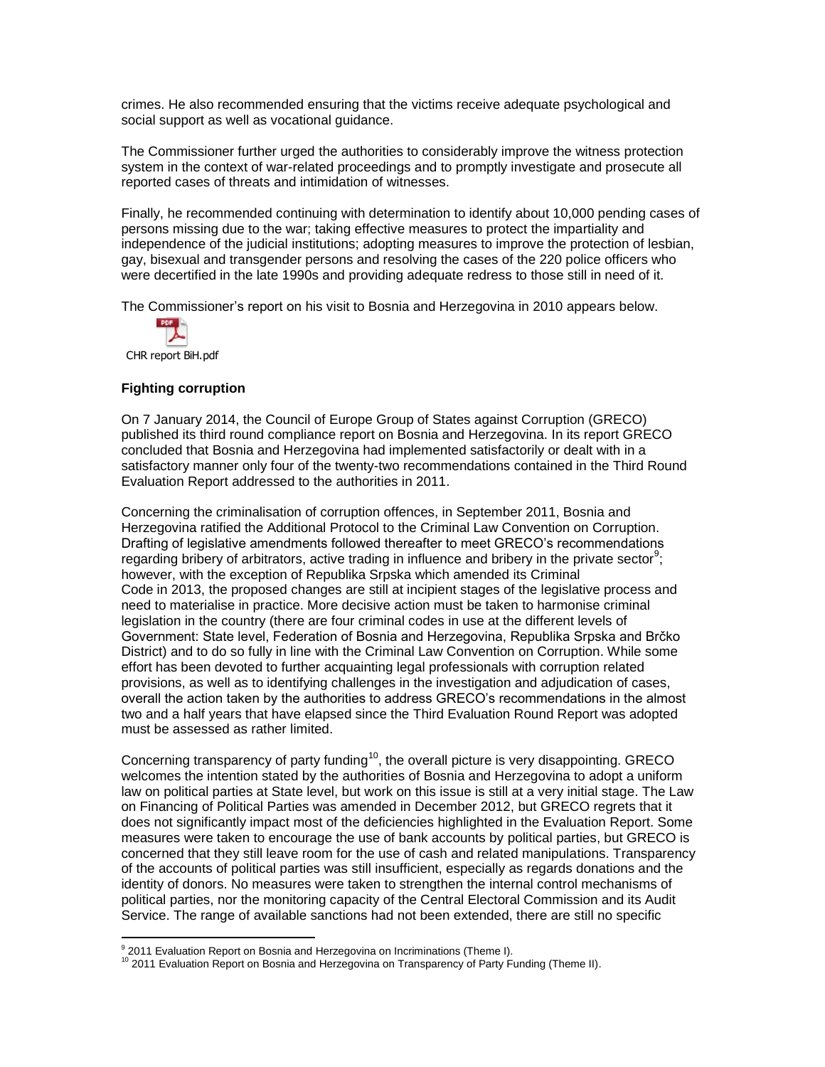crimes. He also recommended ensuring that the victims receive adequate psychological and social support as well as vocational guidance.

The Commissioner further urged the authorities to considerably improve the witness protection system in the context of war-related proceedings and to promptly investigate and prosecute all reported cases of threats and intimidation of witnesses.

Finally, he recommended continuing with determination to identify about 10,000 pending cases of persons missing due to the war; taking effective measures to protect the impartiality and independence of the judicial institutions; adopting measures to improve the protection of lesbian, gay, bisexual and transgender persons and resolving the cases of the 220 police officers who were decertified in the late 1990s and providing adequate redress to those still in need of it.

The Commissioner's report on his visit to Bosnia and Herzegovina in 2010 appears below.

CHR report BiH.pdf

# **Fighting corruption**

On 7 January 2014, the Council of Europe Group of States against Corruption (GRECO) published its third round compliance report on Bosnia and Herzegovina. In its report GRECO concluded that Bosnia and Herzegovina had implemented satisfactorily or dealt with in a satisfactory manner only four of the twenty-two recommendations contained in the Third Round Evaluation Report addressed to the authorities in 2011.

Concerning the criminalisation of corruption offences, in September 2011, Bosnia and Herzegovina ratified the Additional Protocol to the Criminal Law Convention on Corruption. Drafting of legislative amendments followed thereafter to meet GRECO's recommendations regarding bribery of arbitrators, active trading in influence and bribery in the private sector<sup>9</sup>; however, with the exception of Republika Srpska which amended its Criminal Code in 2013, the proposed changes are still at incipient stages of the legislative process and need to materialise in practice. More decisive action must be taken to harmonise criminal legislation in the country (there are four criminal codes in use at the different levels of Government: State level, Federation of Bosnia and Herzegovina, Republika Srpska and Brčko District) and to do so fully in line with the Criminal Law Convention on Corruption. While some effort has been devoted to further acquainting legal professionals with corruption related provisions, as well as to identifying challenges in the investigation and adjudication of cases, overall the action taken by the authorities to address GRECO's recommendations in the almost two and a half years that have elapsed since the Third Evaluation Round Report was adopted must be assessed as rather limited.

Concerning transparency of party funding<sup>10</sup>, the overall picture is very disappointing. GRECO welcomes the intention stated by the authorities of Bosnia and Herzegovina to adopt a uniform law on political parties at State level, but work on this issue is still at a very initial stage. The Law on Financing of Political Parties was amended in December 2012, but GRECO regrets that it does not significantly impact most of the deficiencies highlighted in the Evaluation Report. Some measures were taken to encourage the use of bank accounts by political parties, but GRECO is concerned that they still leave room for the use of cash and related manipulations. Transparency of the accounts of political parties was still insufficient, especially as regards donations and the identity of donors. No measures were taken to strengthen the internal control mechanisms of political parties, nor the monitoring capacity of the Central Electoral Commission and its Audit Service. The range of available sanctions had not been extended, there are still no specific

eran Corpors (The Valuation Report on Bosnia and Herzegovina on Incriminations (Theme I).<br>Principle and Fincrimation Scheme I).

<sup>10 2011</sup> Evaluation Report on Bosnia and Herzegovina on Transparency of Party Funding (Theme II).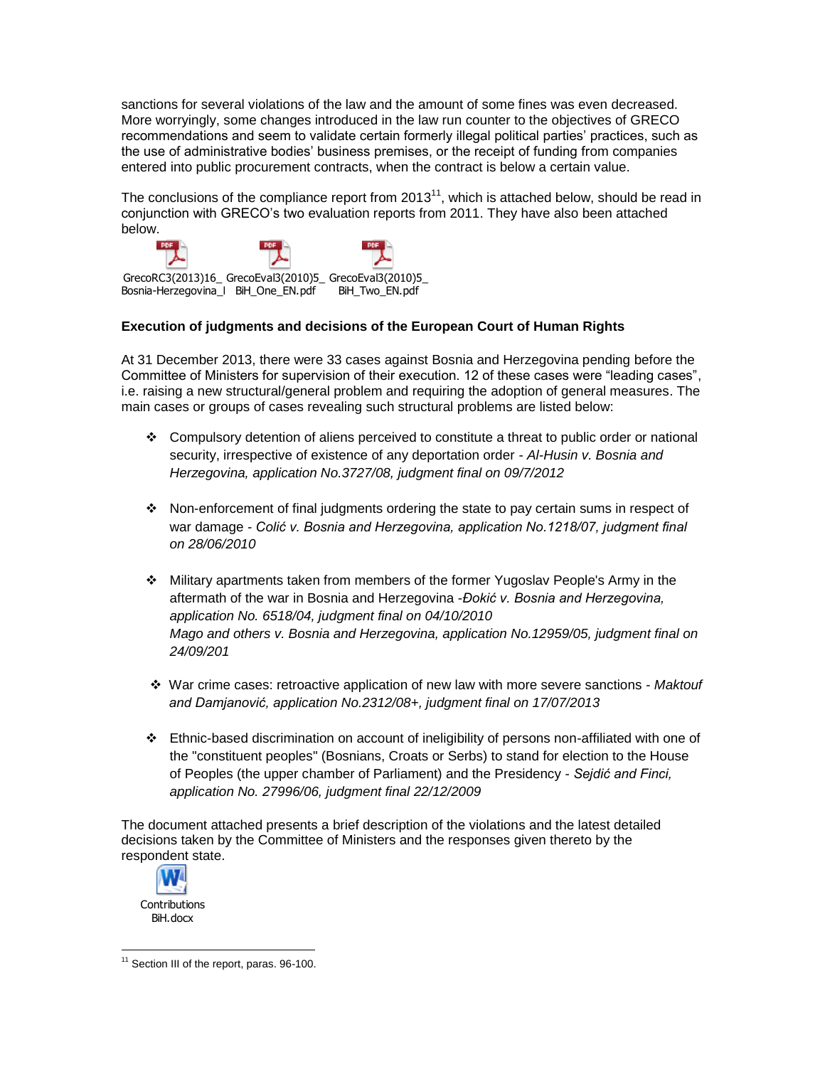sanctions for several violations of the law and the amount of some fines was even decreased. More worryingly, some changes introduced in the law run counter to the objectives of GRECO recommendations and seem to validate certain formerly illegal political parties' practices, such as the use of administrative bodies' business premises, or the receipt of funding from companies entered into public procurement contracts, when the contract is below a certain value.

The conclusions of the compliance report from 2013<sup>11</sup>, which is attached below, should be read in conjunction with GRECO's two evaluation reports from 2011. They have also been attached below.



# **Execution of judgments and decisions of the European Court of Human Rights**

At 31 December 2013, there were 33 cases against Bosnia and Herzegovina pending before the Committee of Ministers for supervision of their execution. 12 of these cases were "leading cases", i.e. raising a new structural/general problem and requiring the adoption of general measures. The main cases or groups of cases revealing such structural problems are listed below:

- Compulsory detention of aliens perceived to constitute a threat to public order or national security, irrespective of existence of any deportation order - *Al-Husin v. Bosnia and Herzegovina, application No.3727/08, judgment final on 09/7/2012*
- $\cdot \cdot$  Non-enforcement of final judgments ordering the state to pay certain sums in respect of war damage *- Colić v. Bosnia and Herzegovina, application No.1218/07, judgment final on 28/06/2010*
- Military apartments taken from members of the former Yugoslav People's Army in the aftermath of the war in Bosnia and Herzegovina -*Đokić v. Bosnia and Herzegovina, application No. 6518/04, judgment final on 04/10/2010 Mago and others v. Bosnia and Herzegovina, application No.12959/05, judgment final on 24/09/201*
- War crime cases: retroactive application of new law with more severe sanctions *Maktouf and Damjanović, application No.2312/08+, judgment final on 17/07/2013*
- Ethnic-based discrimination on account of ineligibility of persons non-affiliated with one of the "constituent peoples" (Bosnians, Croats or Serbs) to stand for election to the House of Peoples (the upper chamber of Parliament) and the Presidency - *Sejdić and Finci, application No. 27996/06, judgment final 22/12/2009*

The document attached presents a brief description of the violations and the latest detailed decisions taken by the Committee of Ministers and the responses given thereto by the respondent state.



 $\overline{a}$ <sup>11</sup> Section III of the report, paras. 96-100.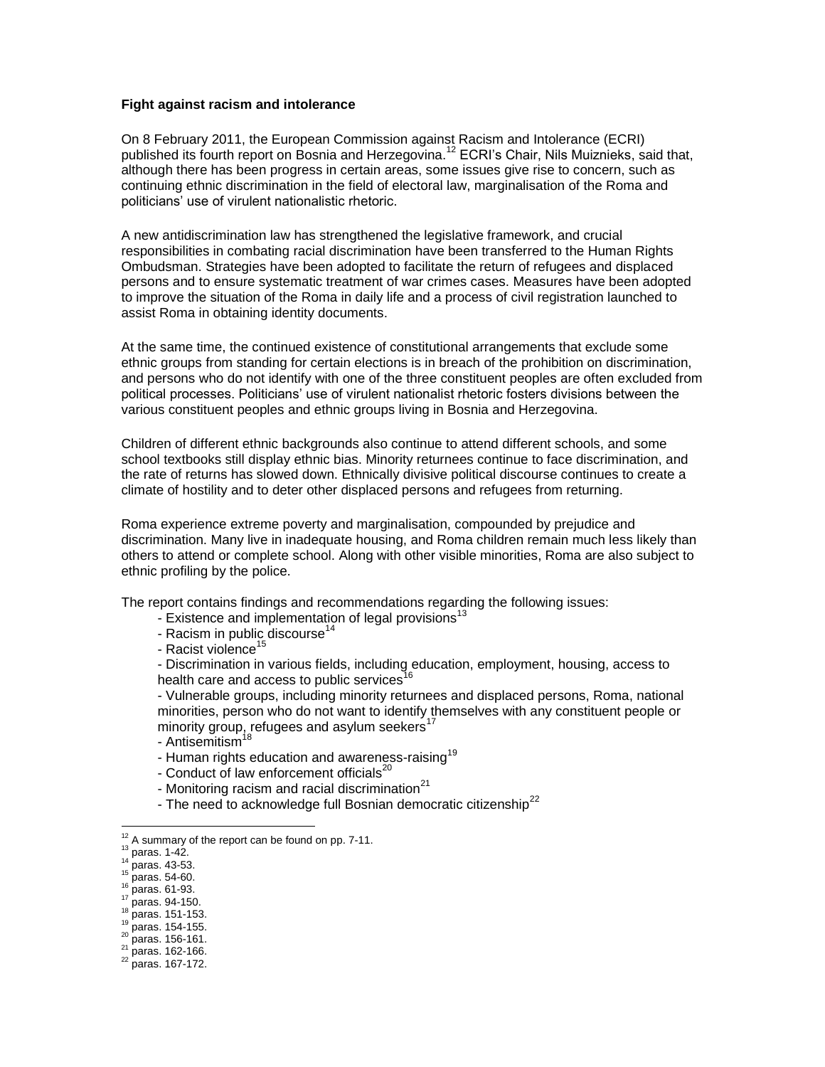#### **Fight against racism and intolerance**

On 8 February 2011, the European Commission against Racism and Intolerance (ECRI) published its fourth report on Bosnia and Herzegovina.<sup>12</sup> ECRI's Chair, Nils Muiznieks, said that, although there has been progress in certain areas, some issues give rise to concern, such as continuing ethnic discrimination in the field of electoral law, marginalisation of the Roma and politicians' use of virulent nationalistic rhetoric.

A new antidiscrimination law has strengthened the legislative framework, and crucial responsibilities in combating racial discrimination have been transferred to the Human Rights Ombudsman. Strategies have been adopted to facilitate the return of refugees and displaced persons and to ensure systematic treatment of war crimes cases. Measures have been adopted to improve the situation of the Roma in daily life and a process of civil registration launched to assist Roma in obtaining identity documents.

At the same time, the continued existence of constitutional arrangements that exclude some ethnic groups from standing for certain elections is in breach of the prohibition on discrimination, and persons who do not identify with one of the three constituent peoples are often excluded from political processes. Politicians' use of virulent nationalist rhetoric fosters divisions between the various constituent peoples and ethnic groups living in Bosnia and Herzegovina.

Children of different ethnic backgrounds also continue to attend different schools, and some school textbooks still display ethnic bias. Minority returnees continue to face discrimination, and the rate of returns has slowed down. Ethnically divisive political discourse continues to create a climate of hostility and to deter other displaced persons and refugees from returning.

Roma experience extreme poverty and marginalisation, compounded by prejudice and discrimination. Many live in inadequate housing, and Roma children remain much less likely than others to attend or complete school. Along with other visible minorities, Roma are also subject to ethnic profiling by the police.

The report contains findings and recommendations regarding the following issues:

- Existence and implementation of legal provisions<sup>13</sup>
- Racism in public discourse<sup>14</sup>
- Racist violence<sup>15</sup>

- Discrimination in various fields, including education, employment, housing, access to health care and access to public services<sup>16</sup>

- Vulnerable groups, including minority returnees and displaced persons, Roma, national minorities, person who do not want to identify themselves with any constituent people or minority group, refugees and asylum seekers<sup>17</sup>

- Antisemitism<sup>1</sup>
- Human rights education and awareness-raising<sup>19</sup>
- Conduct of law enforcement officials $^{20}$
- Monitoring racism and racial discrimination $^{21}$
- The need to acknowledge full Bosnian democratic citizenship<sup>22</sup>

 $\overline{a}$ 

 $12$  A summary of the report can be found on pp. 7-11.

 $13$  paras. 1-42.

 $^{14}$  paras. 43-53.

 $15$  paras. 54-60. <sup>16</sup> paras. 61-93.

 $^{17}_{18}$  paras. 94-150. paras. 151-153.

 $19$  paras. 154-155.

 $^{20}$  paras. 156-161.

 $\frac{21}{2}$  paras. 162-166.

<sup>22</sup> paras. 167-172.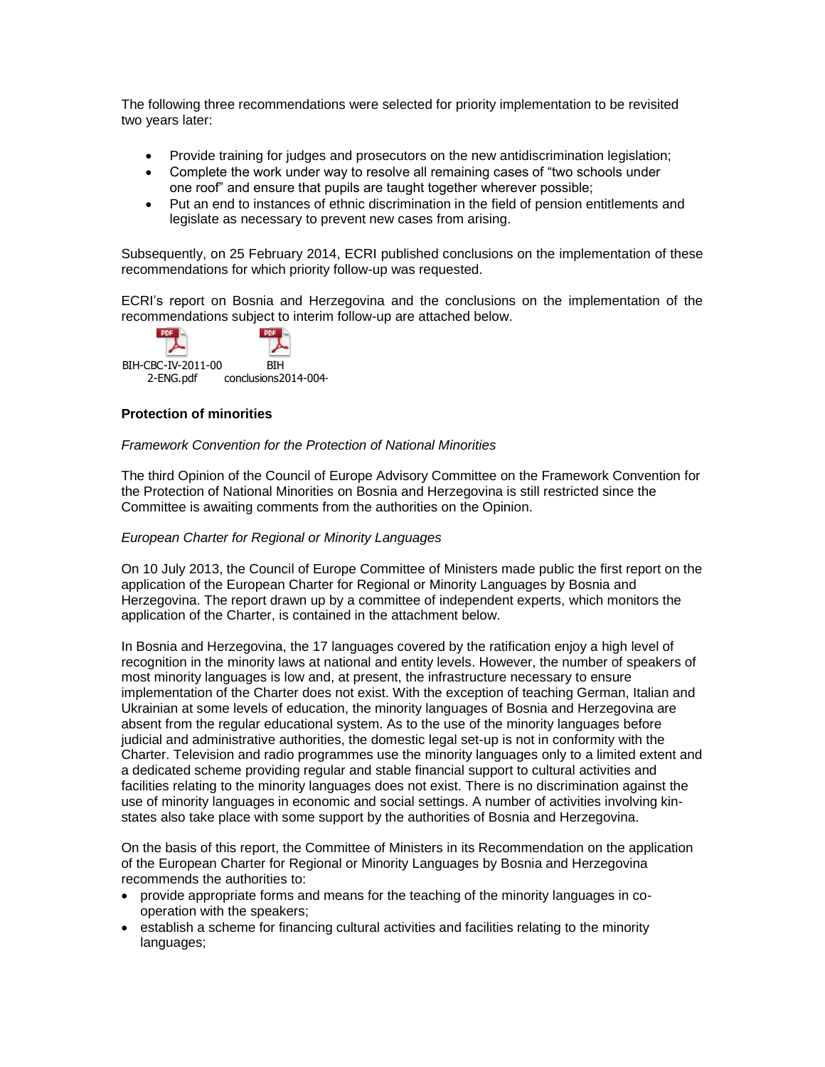The following three recommendations were selected for priority implementation to be revisited two years later:

- Provide training for judges and prosecutors on the new antidiscrimination legislation;
- Complete the work under way to resolve all remaining cases of "two schools under one roof" and ensure that pupils are taught together wherever possible;
- Put an end to instances of ethnic discrimination in the field of pension entitlements and legislate as necessary to prevent new cases from arising.

Subsequently, on 25 February 2014, ECRI published conclusions on the implementation of these recommendations for which priority follow-up was requested.

ECRI's report on Bosnia and Herzegovina and the conclusions on the implementation of the recommendations subject to interim follow-up are attached below.



# **Protection of minorities**

## *Framework Convention for the Protection of National Minorities*

The third Opinion of the Council of Europe Advisory Committee on the Framework Convention for the Protection of National Minorities [on B](http://www.coe.int/t/dghl/monitoring/minorities/3_FCNMdocs/PDF_3rd_OP_CzechRepublic_en.pdf)osnia and Herzegovina is still restricted since the Committee is awaiting comments from the authorities on the Opinion.

## *European Charter for Regional or Minority Languages*

On 10 July 2013, the Council of Europe Committee of Ministers made public the first report on the application of the European Charter for Regional or Minority Languages by Bosnia and Herzegovina. The report drawn up by a committee of independent experts, which monitors the application of the Charter, is contained in the attachment below.

In Bosnia and Herzegovina, the 17 languages covered by the ratification enjoy a high level of recognition in the minority laws at national and entity levels. However, the number of speakers of most minority languages is low and, at present, the infrastructure necessary to ensure implementation of the Charter does not exist. With the exception of teaching German, Italian and Ukrainian at some levels of education, the minority languages of Bosnia and Herzegovina are absent from the regular educational system. As to the use of the minority languages before judicial and administrative authorities, the domestic legal set-up is not in conformity with the Charter. Television and radio programmes use the minority languages only to a limited extent and a dedicated scheme providing regular and stable financial support to cultural activities and facilities relating to the minority languages does not exist. There is no discrimination against the use of minority languages in economic and social settings. A number of activities involving kinstates also take place with some support by the authorities of Bosnia and Herzegovina.

On the basis of this report, the Committee of Ministers in its Recommendation on the application of the European Charter for Regional or Minority Languages by Bosnia and Herzegovina recommends the authorities to:

- provide appropriate forms and means for the teaching of the minority languages in cooperation with the speakers;
- establish a scheme for financing cultural activities and facilities relating to the minority languages;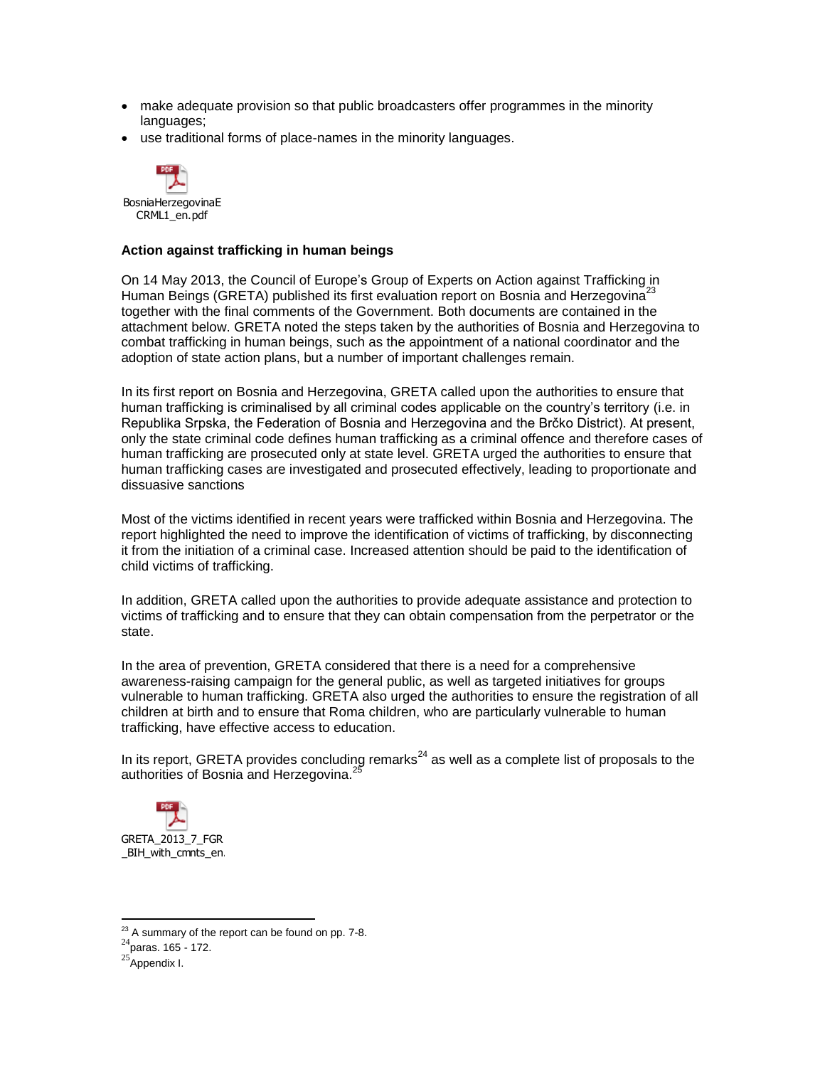- make adequate provision so that public broadcasters offer programmes in the minority languages;
- use traditional forms of place-names in the minority languages.



## **Action against trafficking in human beings**

On 14 May 2013, the Council of Europe's Group of Experts on Action against Trafficking in Human Beings (GRETA) published its first evaluation report on Bosnia and Herzegovina<sup>23</sup> together with the final comments of the Government. Both documents are contained in the attachment below. GRETA noted the steps taken by the authorities of Bosnia and Herzegovina to combat trafficking in human beings, such as the appointment of a national coordinator and the adoption of state action plans, but a number of important challenges remain.

In its first report on Bosnia and Herzegovina, GRETA called upon the authorities to ensure that human trafficking is criminalised by all criminal codes applicable on the country's territory (i.e. in Republika Srpska, the Federation of Bosnia and Herzegovina and the Brčko District). At present, only the state criminal code defines human trafficking as a criminal offence and therefore cases of human trafficking are prosecuted only at state level. GRETA urged the authorities to ensure that human trafficking cases are investigated and prosecuted effectively, leading to proportionate and dissuasive sanctions

Most of the victims identified in recent years were trafficked within Bosnia and Herzegovina. The report highlighted the need to improve the identification of victims of trafficking, by disconnecting it from the initiation of a criminal case. Increased attention should be paid to the identification of child victims of trafficking.

In addition, GRETA called upon the authorities to provide adequate assistance and protection to victims of trafficking and to ensure that they can obtain compensation from the perpetrator or the state.

In the area of prevention, GRETA considered that there is a need for a comprehensive awareness-raising campaign for the general public, as well as targeted initiatives for groups vulnerable to human trafficking. GRETA also urged the authorities to ensure the registration of all children at birth and to ensure that Roma children, who are particularly vulnerable to human trafficking, have effective access to education.

In its report, GRETA provides concluding remarks<sup>24</sup> as well as a complete list of proposals to the authorities of Bosnia and Herzegovina.<sup>25</sup>



 $\overline{a}$ 

 $23$  A summary of the report can be found on pp. 7-8.

 $^{24}$ paras. 165 - 172.

 $25$ Appendix I.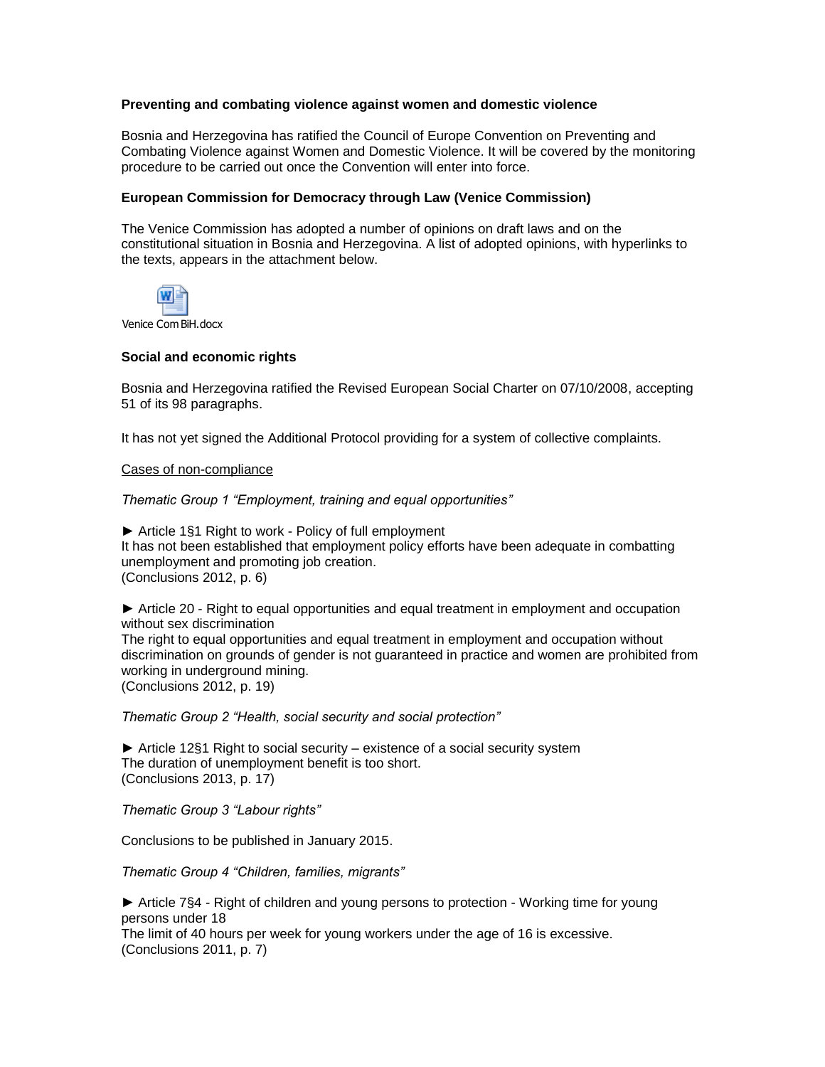# **Preventing and combating violence against women and domestic violence**

Bosnia and Herzegovina has ratified the Council of Europe Convention on Preventing and Combating Violence against Women and Domestic Violence. It will be covered by the monitoring procedure to be carried out once the Convention will enter into force.

## **European Commission for Democracy through Law (Venice Commission)**

The Venice Commission has adopted a number of opinions on draft laws and on the constitutional situation in Bosnia and Herzegovina. A list of adopted opinions, with hyperlinks to the texts, appears in the attachment below.



Venice Com BiH.docx

## **Social and economic rights**

Bosnia and Herzegovina ratified the Revised European Social Charter on 07/10/2008, accepting 51 of its 98 paragraphs.

It has not yet signed the Additional Protocol providing for a system of collective complaints.

## Cases of non-compliance

*Thematic Group 1 "Employment, training and equal opportunities"*

► Article 1§1 Right to work - Policy of full employment It has not been established that employment policy efforts have been adequate in combatting unemployment and promoting job creation. (Conclusions 2012, p. 6)

► Article 20 - Right to equal opportunities and equal treatment in employment and occupation without sex discrimination The right to equal opportunities and equal treatment in employment and occupation without discrimination on grounds of gender is not guaranteed in practice and women are prohibited from working in underground mining. (Conclusions 2012, p. 19)

*Thematic Group 2 "Health, social security and social protection"*

► Article 12§1 Right to social security – existence of a social security system The duration of unemployment benefit is too short. (Conclusions 2013, p. 17)

*Thematic Group 3 "Labour rights"*

Conclusions to be published in January 2015.

*Thematic Group 4 "Children, families, migrants"*

► Article 7§4 - Right of children and young persons to protection - Working time for young persons under 18

The limit of 40 hours per week for young workers under the age of 16 is excessive. (Conclusions 2011, p. 7)